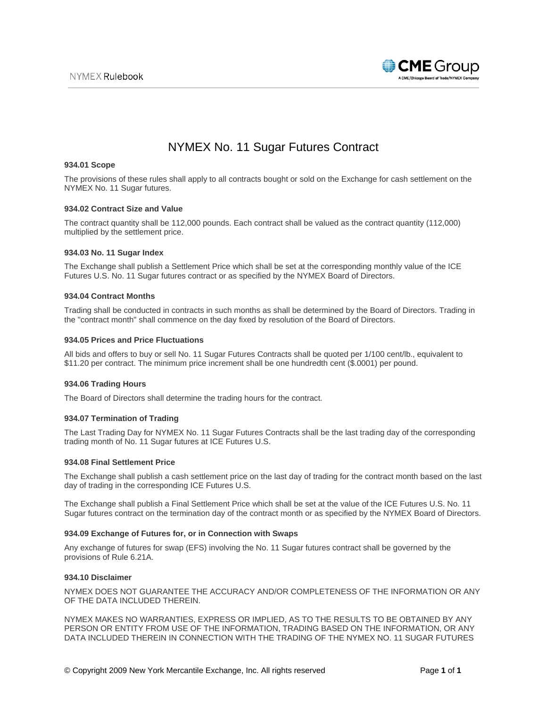

# NYMEX No. 11 Sugar Futures Contract

# **934.01 Scope**

The provisions of these rules shall apply to all contracts bought or sold on the Exchange for cash settlement on the NYMEX No. 11 Sugar futures.

# **934.02 Contract Size and Value**

The contract quantity shall be 112,000 pounds. Each contract shall be valued as the contract quantity (112,000) multiplied by the settlement price.

# **934.03 No. 11 Sugar Index**

The Exchange shall publish a Settlement Price which shall be set at the corresponding monthly value of the ICE Futures U.S. No. 11 Sugar futures contract or as specified by the NYMEX Board of Directors.

# **934.04 Contract Months**

Trading shall be conducted in contracts in such months as shall be determined by the Board of Directors. Trading in the "contract month" shall commence on the day fixed by resolution of the Board of Directors.

# **934.05 Prices and Price Fluctuations**

All bids and offers to buy or sell No. 11 Sugar Futures Contracts shall be quoted per 1/100 cent/lb., equivalent to \$11.20 per contract. The minimum price increment shall be one hundredth cent (\$.0001) per pound.

# **934.06 Trading Hours**

The Board of Directors shall determine the trading hours for the contract.

# **934.07 Termination of Trading**

The Last Trading Day for NYMEX No. 11 Sugar Futures Contracts shall be the last trading day of the corresponding trading month of No. 11 Sugar futures at ICE Futures U.S.

### **934.08 Final Settlement Price**

The Exchange shall publish a cash settlement price on the last day of trading for the contract month based on the last day of trading in the corresponding ICE Futures U.S.

The Exchange shall publish a Final Settlement Price which shall be set at the value of the ICE Futures U.S. No. 11 Sugar futures contract on the termination day of the contract month or as specified by the NYMEX Board of Directors.

### **934.09 Exchange of Futures for, or in Connection with Swaps**

Any exchange of futures for swap (EFS) involving the No. 11 Sugar futures contract shall be governed by the provisions of Rule 6.21A.

### **934.10 Disclaimer**

NYMEX DOES NOT GUARANTEE THE ACCURACY AND/OR COMPLETENESS OF THE INFORMATION OR ANY OF THE DATA INCLUDED THEREIN.

NYMEX MAKES NO WARRANTIES, EXPRESS OR IMPLIED, AS TO THE RESULTS TO BE OBTAINED BY ANY PERSON OR ENTITY FROM USE OF THE INFORMATION, TRADING BASED ON THE INFORMATION, OR ANY DATA INCLUDED THEREIN IN CONNECTION WITH THE TRADING OF THE NYMEX NO. 11 SUGAR FUTURES